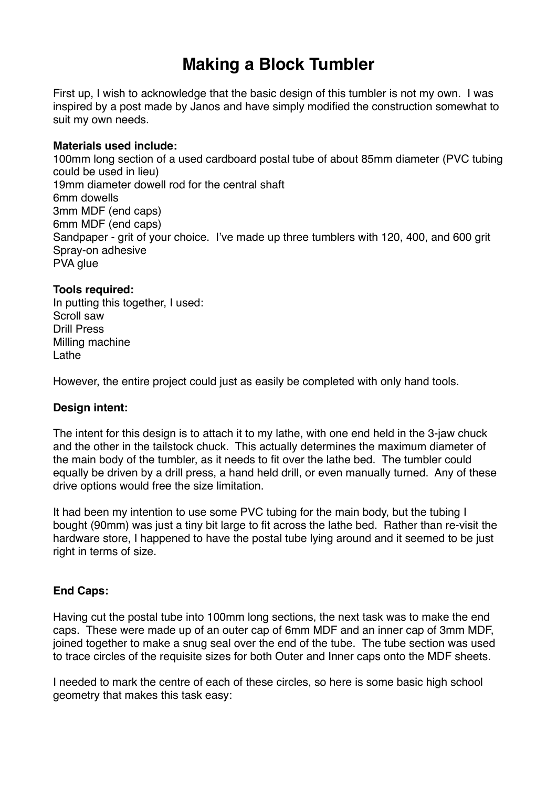# **Making a Block Tumbler**

First up, I wish to acknowledge that the basic design of this tumbler is not my own. I was inspired by a post made by Janos and have simply modified the construction somewhat to suit my own needs.

#### **Materials used include:**

100mm long section of a used cardboard postal tube of about 85mm diameter (PVC tubing could be used in lieu) 19mm diameter dowell rod for the central shaft 6mm dowells 3mm MDF (end caps) 6mm MDF (end caps) Sandpaper - grit of your choice. I've made up three tumblers with 120, 400, and 600 grit Spray-on adhesive PVA glue

### **Tools required:**

In putting this together, I used: Scroll saw Drill Press Milling machine Lathe

However, the entire project could just as easily be completed with only hand tools.

#### **Design intent:**

The intent for this design is to attach it to my lathe, with one end held in the 3-jaw chuck and the other in the tailstock chuck. This actually determines the maximum diameter of the main body of the tumbler, as it needs to fit over the lathe bed. The tumbler could equally be driven by a drill press, a hand held drill, or even manually turned. Any of these drive options would free the size limitation.

It had been my intention to use some PVC tubing for the main body, but the tubing I bought (90mm) was just a tiny bit large to fit across the lathe bed. Rather than re-visit the hardware store, I happened to have the postal tube lying around and it seemed to be just right in terms of size.

## **End Caps:**

Having cut the postal tube into 100mm long sections, the next task was to make the end caps. These were made up of an outer cap of 6mm MDF and an inner cap of 3mm MDF, joined together to make a snug seal over the end of the tube. The tube section was used to trace circles of the requisite sizes for both Outer and Inner caps onto the MDF sheets.

I needed to mark the centre of each of these circles, so here is some basic high school geometry that makes this task easy: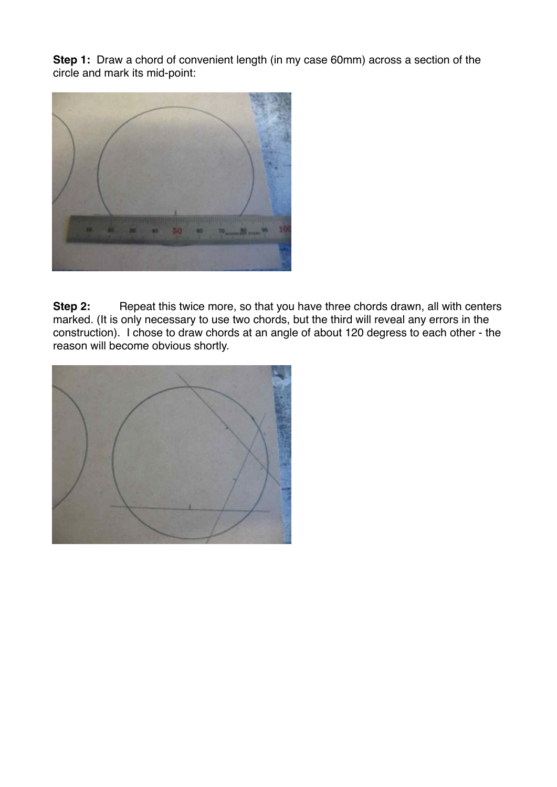**Step 1:** Draw a chord of convenient length (in my case 60mm) across a section of the circle and mark its mid-point:



**Step 2:** Repeat this twice more, so that you have three chords drawn, all with centers marked. (It is only necessary to use two chords, but the third will reveal any errors in the construction). I chose to draw chords at an angle of about 120 degress to each other - the reason will become obvious shortly.

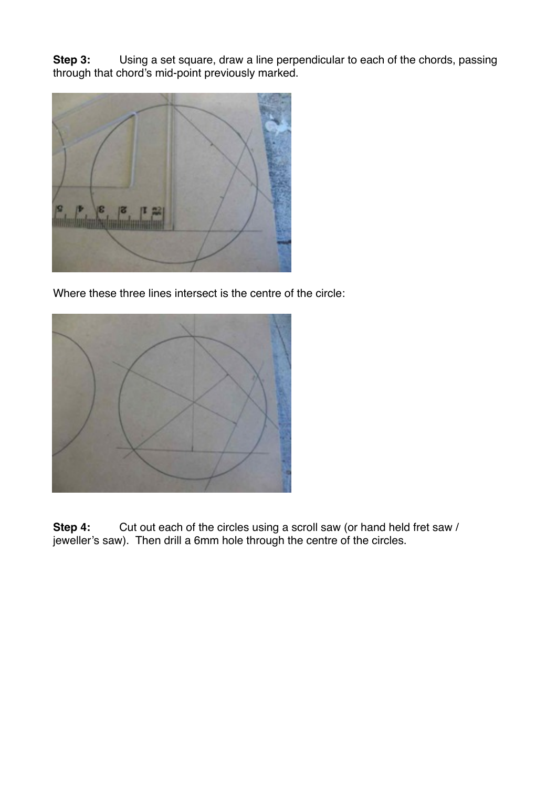**Step 3:** Using a set square, draw a line perpendicular to each of the chords, passing through that chord's mid-point previously marked.



Where these three lines intersect is the centre of the circle:



Step 4: Cut out each of the circles using a scroll saw (or hand held fret saw / jeweller's saw). Then drill a 6mm hole through the centre of the circles.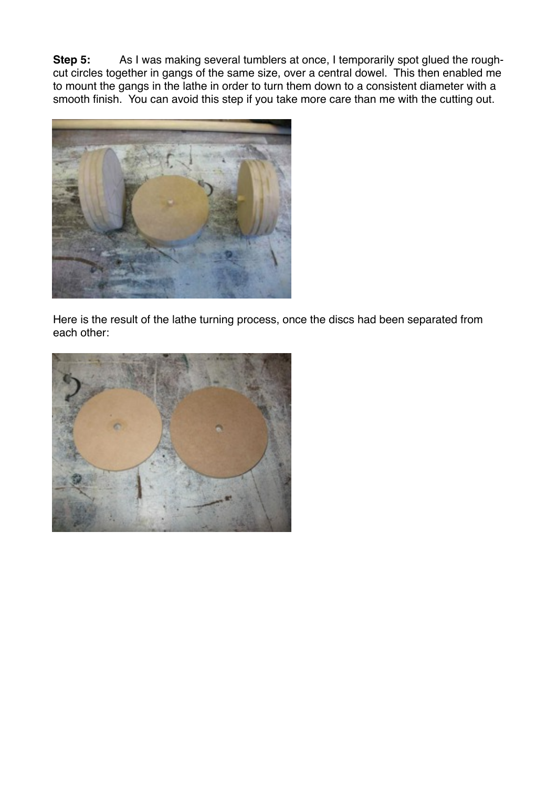**Step 5:** As I was making several tumblers at once, I temporarily spot glued the roughcut circles together in gangs of the same size, over a central dowel. This then enabled me to mount the gangs in the lathe in order to turn them down to a consistent diameter with a smooth finish. You can avoid this step if you take more care than me with the cutting out.



Here is the result of the lathe turning process, once the discs had been separated from each other:

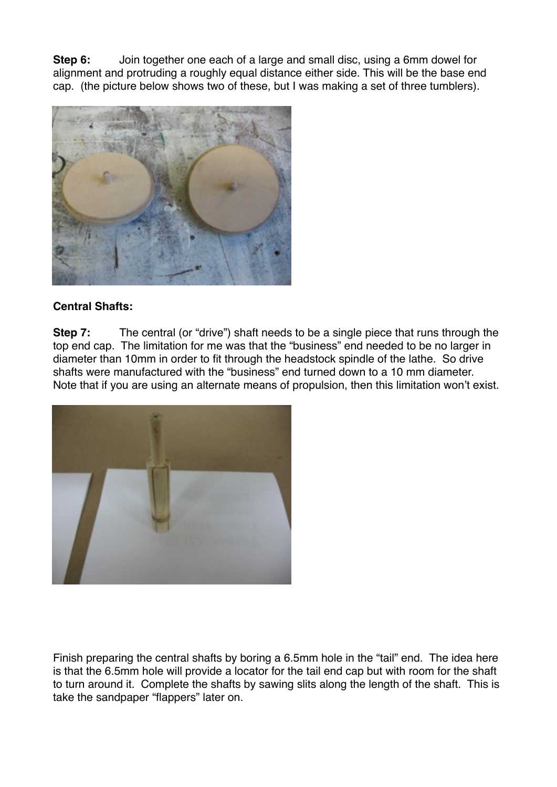**Step 6:** Join together one each of a large and small disc, using a 6mm dowel for alignment and protruding a roughly equal distance either side. This will be the base end cap. (the picture below shows two of these, but I was making a set of three tumblers).



## **Central Shafts:**

**Step 7:** The central (or "drive") shaft needs to be a single piece that runs through the top end cap. The limitation for me was that the "business" end needed to be no larger in diameter than 10mm in order to fit through the headstock spindle of the lathe. So drive shafts were manufactured with the "business" end turned down to a 10 mm diameter. Note that if you are using an alternate means of propulsion, then this limitation won't exist.



Finish preparing the central shafts by boring a 6.5mm hole in the "tail" end. The idea here is that the 6.5mm hole will provide a locator for the tail end cap but with room for the shaft to turn around it. Complete the shafts by sawing slits along the length of the shaft. This is take the sandpaper "flappers" later on.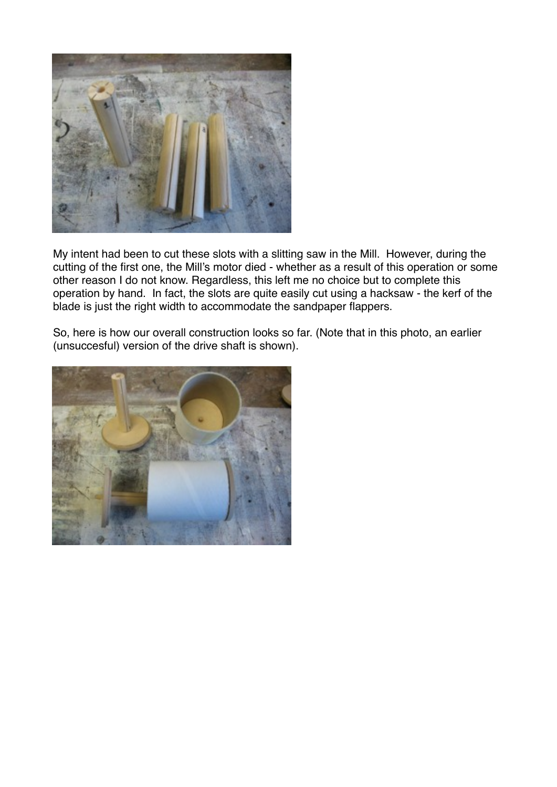

My intent had been to cut these slots with a slitting saw in the Mill. However, during the cutting of the first one, the Mill's motor died - whether as a result of this operation or some other reason I do not know. Regardless, this left me no choice but to complete this operation by hand. In fact, the slots are quite easily cut using a hacksaw - the kerf of the blade is just the right width to accommodate the sandpaper flappers.

So, here is how our overall construction looks so far. (Note that in this photo, an earlier (unsuccesful) version of the drive shaft is shown).

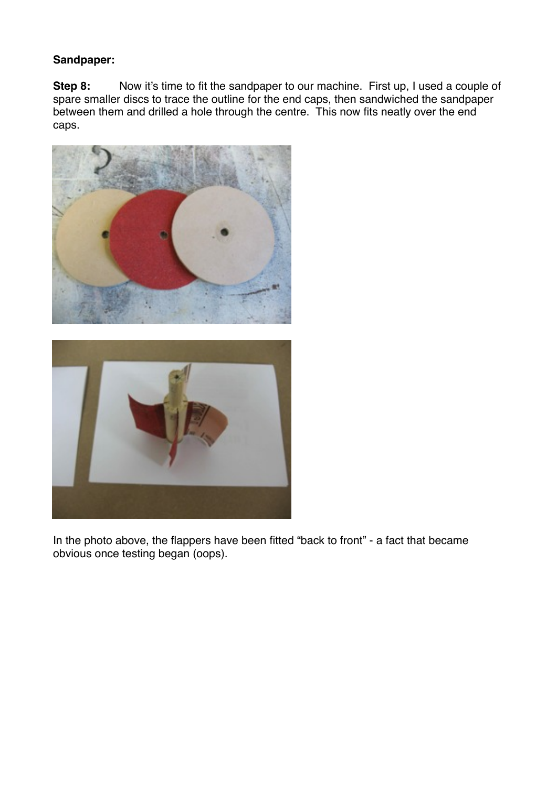## **Sandpaper:**

**Step 8:** Now it's time to fit the sandpaper to our machine. First up, I used a couple of spare smaller discs to trace the outline for the end caps, then sandwiched the sandpaper between them and drilled a hole through the centre. This now fits neatly over the end caps.



In the photo above, the flappers have been fitted "back to front" - a fact that became obvious once testing began (oops).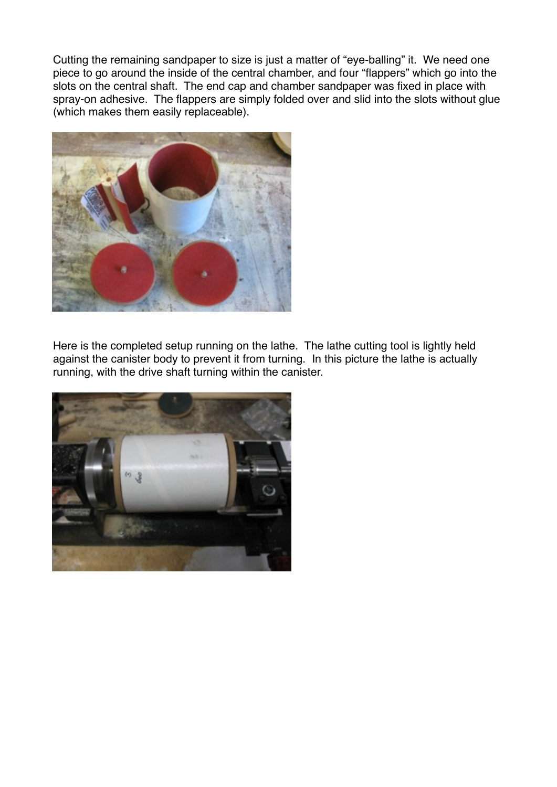Cutting the remaining sandpaper to size is just a matter of "eye-balling" it. We need one piece to go around the inside of the central chamber, and four "flappers" which go into the slots on the central shaft. The end cap and chamber sandpaper was fixed in place with spray-on adhesive. The flappers are simply folded over and slid into the slots without glue (which makes them easily replaceable).



Here is the completed setup running on the lathe. The lathe cutting tool is lightly held against the canister body to prevent it from turning. In this picture the lathe is actually running, with the drive shaft turning within the canister.

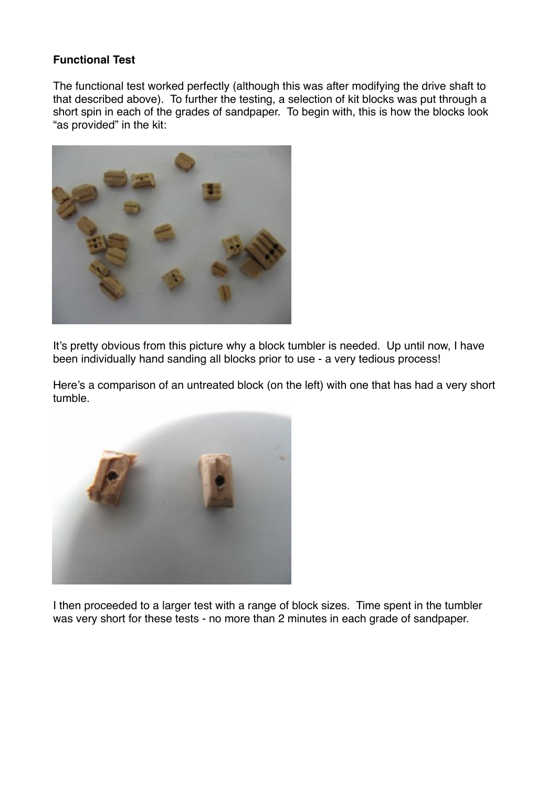## **Functional Test**

The functional test worked perfectly (although this was after modifying the drive shaft to that described above). To further the testing, a selection of kit blocks was put through a short spin in each of the grades of sandpaper. To begin with, this is how the blocks look "as provided" in the kit:



It's pretty obvious from this picture why a block tumbler is needed. Up until now, I have been individually hand sanding all blocks prior to use - a very tedious process!

Here's a comparison of an untreated block (on the left) with one that has had a very short tumble.



I then proceeded to a larger test with a range of block sizes. Time spent in the tumbler was very short for these tests - no more than 2 minutes in each grade of sandpaper.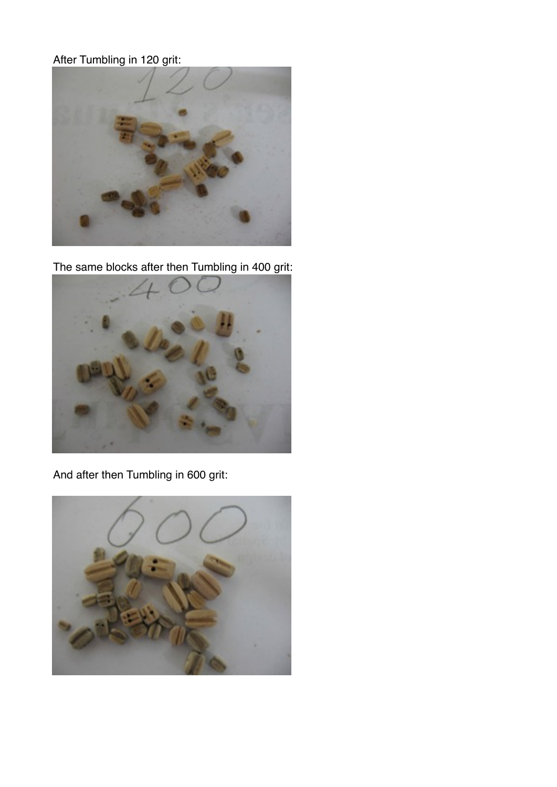## After Tumbling in 120 grit:



The same blocks after then Tumbling in 400 grit:



And after then Tumbling in 600 grit:

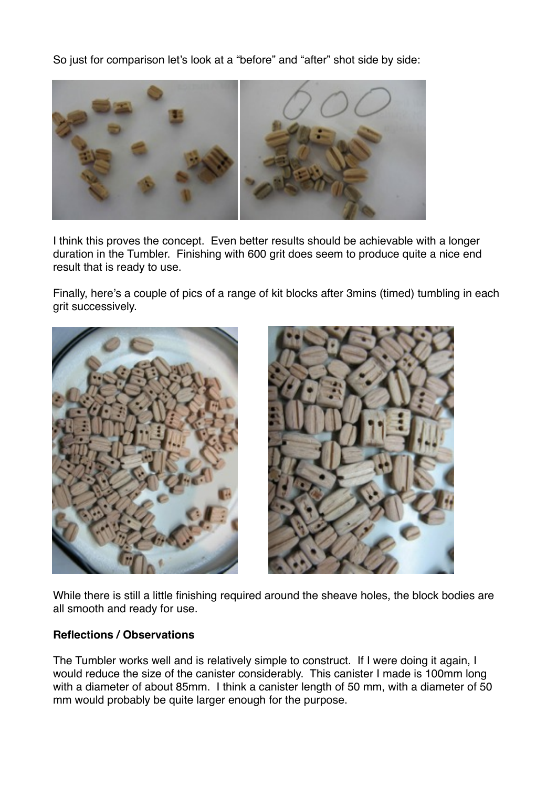So just for comparison let's look at a "before" and "after" shot side by side:



I think this proves the concept. Even better results should be achievable with a longer duration in the Tumbler. Finishing with 600 grit does seem to produce quite a nice end result that is ready to use.

Finally, here's a couple of pics of a range of kit blocks after 3mins (timed) tumbling in each grit successively.





While there is still a little finishing required around the sheave holes, the block bodies are all smooth and ready for use.

## **Reflections / Observations**

The Tumbler works well and is relatively simple to construct. If I were doing it again, I would reduce the size of the canister considerably. This canister I made is 100mm long with a diameter of about 85mm. I think a canister length of 50 mm, with a diameter of 50 mm would probably be quite larger enough for the purpose.